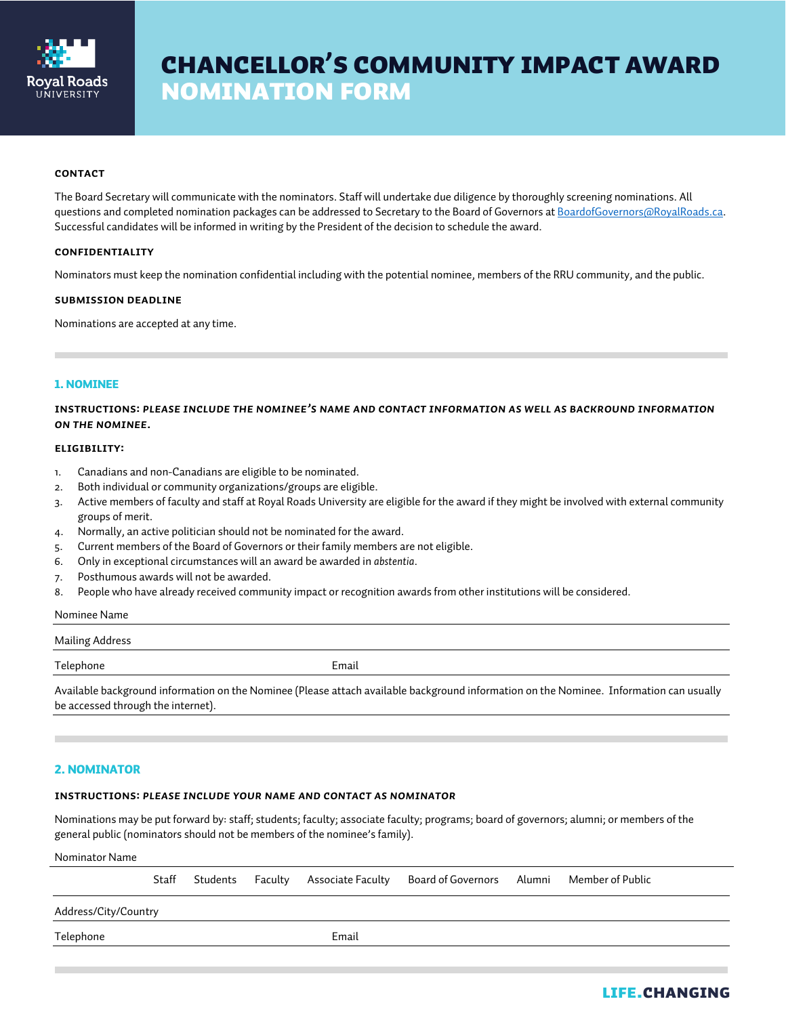

# **CHANCELLOR'S COMMUNITY IMPACT AWARD NOMINATION FORM**

## **CONTACT**

The Board Secretary will communicate with the nominators. Staff will undertake due diligence by thoroughly screening nominations. All questions and completed nomination packages can be addressed to Secretary to the Board of Governors at BoardofGovernors@RoyalRoads.ca. Successful candidates will be informed in writing by the President of the decision to schedule the award.

## **Confidentiality**

Nominators must keep the nomination confidential including with the potential nominee, members of the RRU community, and the public.

#### **Submission Deadline**

Nominations are accepted at any time.

## 1. NOMINEE

**Instructions:** *Please include the nominee's name and contact information as well as BACKROUND INFORMATION ON THE nominee.* 

## **ELIGIBILITY:**

- 1. Canadians and non-Canadians are eligible to be nominated.
- 2. Both individual or community organizations/groups are eligible.
- 3. Active members of faculty and staff at Royal Roads University are eligible for the award if they might be involved with external community groups of merit.
- 4. Normally, an active politician should not be nominated for the award.
- 5. Current members of the Board of Governors or their family members are not eligible.
- 6. Only in exceptional circumstances will an award be awarded in *abstentia*.
- 7. Posthumous awards will not be awarded.
- 8. People who have already received community impact or recognition awards from other institutions will be considered.

#### Nominee Name

#### Mailing Address

Telephone Email

Available background information on the Nominee (Please attach available background information on the Nominee. Information can usually be accessed through the internet).

# 2. NOMINATOR

## **INSTRUCTIONS:** *PLEASE INCLUDE YOUR NAME AND CONTACT AS NOMINATOR*

Nominations may be put forward by: staff; students; faculty; associate faculty; programs; board of governors; alumni; or members of the general public (nominators should not be members of the nominee's family).

Nominator Name

|                      | Staff | Students Faculty |       | Associate Faculty       Board of Governors       Alumni      Member of Public |  |
|----------------------|-------|------------------|-------|-------------------------------------------------------------------------------|--|
| Address/City/Country |       |                  |       |                                                                               |  |
| Telephone            |       |                  | Email |                                                                               |  |
|                      |       |                  |       |                                                                               |  |